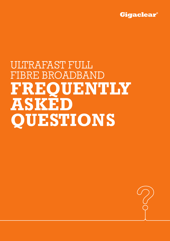

# ULTRAFAST FULL FIBRE BROADBAND **FREQUENTLY ASKED QUESTIONS**

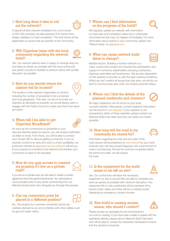#### 1. How long does it take to roll out the network?



A typical full fibre network installation for a community of 200-400 premises will take between 6-9 months from design validation to build completion. The time-frame will be dependent on issues that are specific to the community.

#### 2. Will Gigaclear liaise with the local community regarding the network build?



Yes. Our network delivery team is happy to arrange drop-ins and liaise as closely as possible with the local community and parish councils to facilitate a network rollout with as little disruption as possible.

#### 3. How do you decide where the cabinet will be located?

The location of the cabinet is dependent on factors including the number of properties to be connected and local geography. That said, our aim is to locate our cabinets as discretely as possible, so we will always seek to engage with the Parish Council to make sure their local views are heard.

#### 4. When will I be able to get Gigaclear Broadband?



As soon as the connections to properties in your area are deemed ready for service, you will receive notification via letter or email. From there, you will be able to contact your chosen ISP to discuss getting connected. If you've recently moved to an area and want to check availability, our postcode checker at gigaclear.com/our-network will tell you if your property is included in the network and whether your connection is ready to be activated.

#### 5. How do you gain access to connect my property if I live on a private road?



If you live on a private road we will need to obtain a written agreement from the grantor/landowner. You will receive a communication prior to any works commencing from our Network Access team who will guide you through this process.

#### 6. Can my connection point be placed in a different position?

No. The location for customer connection points are

carefully planned so as not to interfere with other utilities such as gas and water mains.

# 7. Where can I find information on the progress of the build?



We regularly update our website with information on build start and completion dates but in unforeseen circumstances this may not happen immediately. For more information about activity in your community, please visit 'Rollout Areas' on gigaclear.com.

# 8. What can cause network build dates to change?



Multiple factors. Building a full fibre network is a

major construction project and requires the participation and support of numerous stakeholders including contractors, highways authorities and landowners. We are also dependent on the weather to provide us with the right working conditions. Whilst we can't predict all issues that may arise, we will do our best to communicate early when we foresee potential delays.

#### 9. Where can I find the details of the planned roadworks and closures?



All major roadworks can be found on your local council's website. Alternatively, current roadwork information can be found on one.network. If your question is not answered by either of these websites, please contact our Network Build Care team and they can assist you where possible.

### 10. How long will the road in my community be closed for?



Information regarding the start and end date of the road closure will be published on one.network by your local authority who will have issued Gigaclear with a permit prior to works commencing. Should the work be completed before the permit end date, we will reopen the road.

# 11. Is the equipment for the build meant to be left on site?



Yes. Our contractors will leave the necessary equipment on site to ensure they are able to complete the work as quickly as possible with minimum disruption. Any equipment left on site unattended will be barriered off to ensure public safety and there will be a courtesy board displaying an emergency contact number.

# 12. Your build is causing access issues, who should I contact?



Please accept our apologies for any inconvenience our work is causing. If you have been unable to speak with the operatives directly, please call our Network Build Care team who will be able to contact the necessary individuals to ensure that the situation is resolved.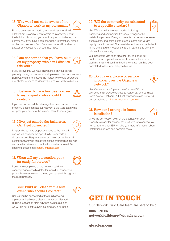# 13. Why was I not made aware of the Gigaclear work in my community?



Prior to commencing work, you should have received a letter from us and our contractors to inform you about the build and how long you should expect us to be in your community. If you have not received this information, please contact our Network Build Care team who will be able to answer any questions that you may have.

# 14. I am concerned that you have built on my property, who can I discuss this with?

If you believe that we have encroached on your private property during our network build, please contact our Network Build Care team to discuss the matter. We would appreciate any photos or maps to identify the area you wish to discuss.

### 15. I believe damage has been caused to my property, who should I contact?



If you are concerned that damage has been caused to your property, please contact our Network Build Care team who will pass your query to the relevant team to investigate.

#### 16. I live just outside the build area. Can I get connected?

It is possible to have properties added to the network and we will consider the opportunity under certain circumstances. Requests are coordinated by our Network Extension team who can advise on the practicalities, timings and whether a financial contribution may be required. For enquiries please email netex@gigaclear.com.

### 17. When will my connection point be ready for service?



Due to the complexity of the network build we cannot provide specific dates for individual connection points. However, we aim to keep you updated throughout the build process.

# 18. Your build will clash with a local event, who should I contact?



Should you be concerned of the build affecting a pre-organised event, please contact our Network Build Care team as far in advance as possible and we will do our best to avoid causing any disruption.

# 19. Will the community be reinstated to a specific standard?



Yes. We start reinstatement works, including backfilling and compacting trenches, alongside the installation process. Doing so protects the network, ensures public safety and helps get the roads, paths and verges rapidly back to normal. Our reinstatement work is carried out in line with statutory regulations and in partnership with the relevant local authority.

Our inspectors visit each area prior to, and after, our contractors complete their works to assess the level of workmanship and confirm that the reinstatement has been completed to the required specification.

#### 20. Do I have a choice of service provider over the Gigaclear network?



Yes. Our network is 'open access' so any ISP that wishes to may provide services to residential and business users over our network. A full list of providers can be found on our website at gigaclear.com/our-partners.

# 21. How can I arrange in-home installation?



Once the connection point at the boundary of your property is ready for service, the next step is to connect your home. Your chosen ISP will give you more information about installation services and possible costs.

# **GET IN TOUCH**

Our Network Build Care team are here to help

**01865 591137 networkbuildcare@gigaclear.com**

**gigaclear.com**